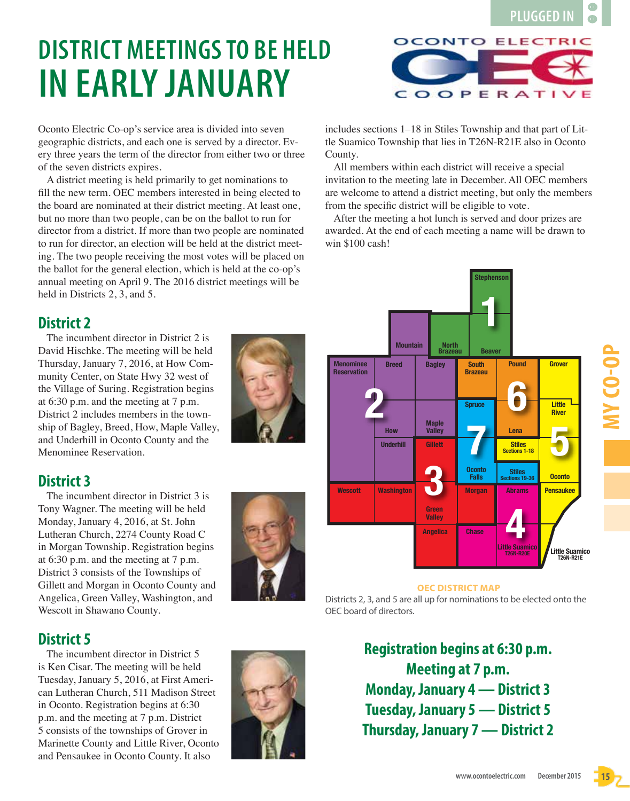**MY CO-OP**

# **DISTRICT MEETINGS TO BE HELD IN EARLY JANUARY**

Oconto Electric Co-op's service area is divided into seven geographic districts, and each one is served by a director. Every three years the term of the director from either two or three of the seven districts expires.

A district meeting is held primarily to get nominations to fill the new term. OEC members interested in being elected to the board are nominated at their district meeting. At least one, but no more than two people, can be on the ballot to run for director from a district. If more than two people are nominated to run for director, an election will be held at the district meeting. The two people receiving the most votes will be placed on the ballot for the general election, which is held at the co-op's annual meeting on April 9. The 2016 district meetings will be held in Districts 2, 3, and 5.

# **District 2**

The incumbent director in District 2 is David Hischke. The meeting will be held Thursday, January 7, 2016, at How Community Center, on State Hwy 32 west of the Village of Suring. Registration begins at 6:30 p.m. and the meeting at 7 p.m. District 2 includes members in the township of Bagley, Breed, How, Maple Valley, and Underhill in Oconto County and the Menominee Reservation.

### **District 3**

The incumbent director in District 3 is Tony Wagner. The meeting will be held Monday, January 4, 2016, at St. John Lutheran Church, 2274 County Road C in Morgan Township. Registration begins at 6:30 p.m. and the meeting at 7 p.m. District 3 consists of the Townships of Gillett and Morgan in Oconto County and Angelica, Green Valley, Washington, and Wescott in Shawano County.

#### **District 5**

The incumbent director in District 5 is Ken Cisar. The meeting will be held Tuesday, January 5, 2016, at First American Lutheran Church, 511 Madison Street in Oconto. Registration begins at 6:30 p.m. and the meeting at 7 p.m. District 5 consists of the townships of Grover in Marinette County and Little River, Oconto and Pensaukee in Oconto County. It also

#### **Little Suamico T26N-R20E Little Suamico OEC DISTRICT MAP**

Districts 2, 3, and 5 are all up for nominations to be elected onto the OEC board of directors.

> **Registration begins at 6:30 p.m. Meeting at 7 p.m. Monday, January 4 — District 3 Tuesday, January 5 — District 5 Thursday, January 7 — District 2**



**Grover**

**Little River**





**Stephenson**

**1**

**Beaver**

**South Brazeau**

**Spruce**

**Morgan**

**Oconto**

**7**

**Abrams**

**4**

**Stiles**<br> **CED**<br> **Stillers** 

**Lena**

**Stiles Sections 1-18**

**Pound**

**6**

**Chase**

**PLUGGED IN**

 $\blacksquare$ 

includes sections 1–18 in Stiles Township and that part of Little Suamico Township that lies in T26N-R21E also in Oconto County.

All members within each district will receive a special invitation to the meeting late in December. All OEC members are welcome to attend a district meeting, but only the members from the specific district will be eligible to vote.

After the meeting a hot lunch is served and door prizes are awarded. At the end of each meeting a name will be drawn to win \$100 cash!

**North Brazeau**

**Maple Valley**

**Gillett**

**Green Valley Angelica**

**3**

**Mountain Breed Bagley**

**How**

**Underhill**

**Wescott Washington**

**2**

**Menominee Reservation**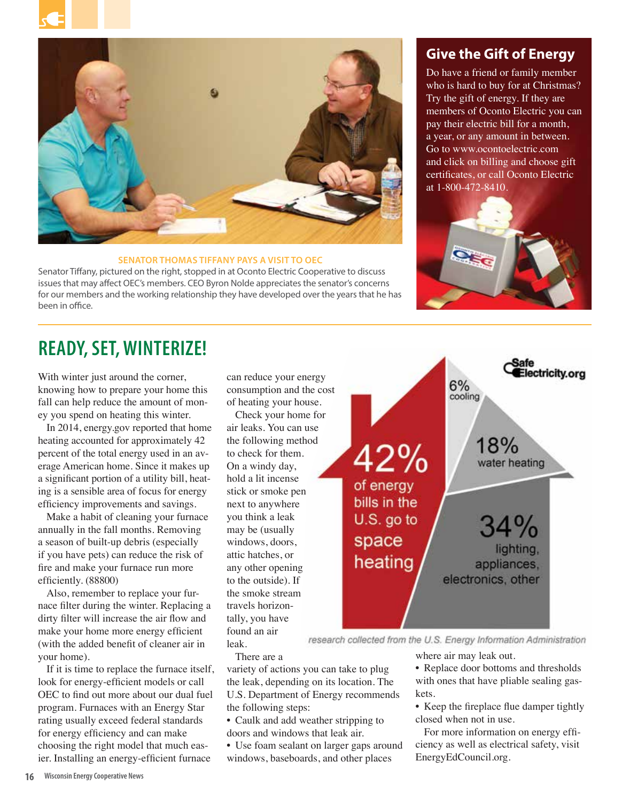



#### **SENATOR THOMAS TIFFANY PAYS A VISIT TO OEC**

Senator Tiffany, pictured on the right, stopped in at Oconto Electric Cooperative to discuss issues that may affect OEC's members. CEO Byron Nolde appreciates the senator's concerns for our members and the working relationship they have developed over the years that he has been in office.

#### **Give the Gift of Energy**

Do have a friend or family member who is hard to buy for at Christmas? Try the gift of energy. If they are members of Oconto Electric you can pay their electric bill for a month, a year, or any amount in between. Go to www.ocontoelectric.com and click on billing and choose gift certificates, or call Oconto Electric at 1-800-472-8410.



## **READY, SET, WINTERIZE!**

With winter just around the corner, knowing how to prepare your home this fall can help reduce the amount of money you spend on heating this winter.

In 2014, energy.gov reported that home heating accounted for approximately 42 percent of the total energy used in an average American home. Since it makes up a significant portion of a utility bill, heating is a sensible area of focus for energy efficiency improvements and savings.

Make a habit of cleaning your furnace annually in the fall months. Removing a season of built-up debris (especially if you have pets) can reduce the risk of fire and make your furnace run more efficiently. (88800)

Also, remember to replace your furnace filter during the winter. Replacing a dirty filter will increase the air flow and make your home more energy efficient (with the added benefit of cleaner air in your home).

If it is time to replace the furnace itself, look for energy-efficient models or call OEC to find out more about our dual fuel program. Furnaces with an Energy Star rating usually exceed federal standards for energy efficiency and can make choosing the right model that much easier. Installing an energy-efficient furnace

can reduce your energy consumption and the cost of heating your house.

Check your home for air leaks. You can use the following method to check for them. On a windy day, hold a lit incense stick or smoke pen next to anywhere you think a leak may be (usually windows, doors, attic hatches, or any other opening to the outside). If the smoke stream travels horizontally, you have found an air leak.



research collected from the U.S. Energy Information Administration

There are a

variety of actions you can take to plug the leak, depending on its location. The U.S. Department of Energy recommends the following steps:

- Caulk and add weather stripping to
- doors and windows that leak air.

• Use foam sealant on larger gaps around windows, baseboards, and other places

where air may leak out.

- Replace door bottoms and thresholds with ones that have pliable sealing gaskets.
- Keep the fireplace flue damper tightly closed when not in use.

For more information on energy efficiency as well as electrical safety, visit EnergyEdCouncil.org.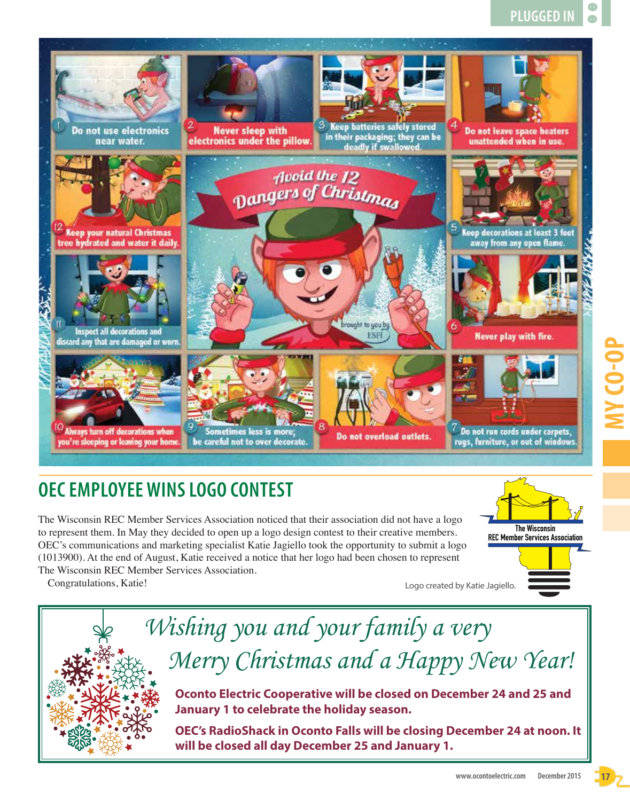

# **OEC EMPLOYEE WINS LOGO CONTEST**

The Wisconsin REC Member Services Association noticed that their association did not have a logo to represent them. In May they decided to open up a logo design contest to their creative members. OEC's communications and marketing specialist Katie Jagiello took the opportunity to submit a logo (1013900). At the end of August, Katie received a notice that her logo had been chosen to represent The Wisconsin REC Member Services Association.

Congratulations, Katie!





**OEC's RadioShack in Oconto Falls will be closing December 24 at noon. It will be closed all day December 25 and January 1.**

**The Wisconsin REC Member Services Association**